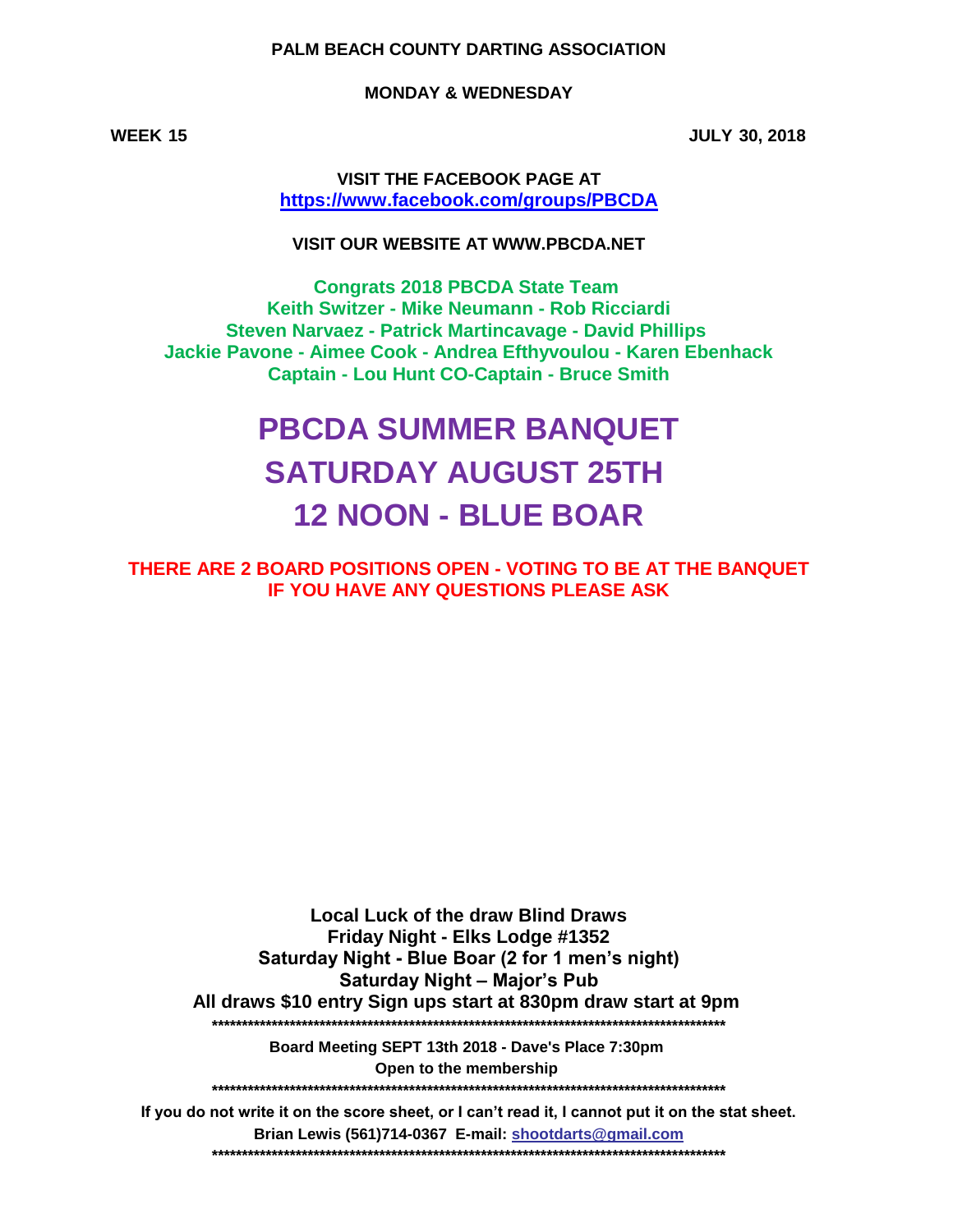## **PALM BEACH COUNTY DARTING ASSOCIATION**

## **MONDAY & WEDNESDAY**

**WEEK 15 JULY 30, 2018**

**VISIT THE FACEBOOK PAGE AT [h](https://www.facebook.com/groups/PBCDA)ttps://www.facebook.com/groups/PBCDA**

**VISIT OUR WEBSITE AT WWW.PBCDA.NET**

**Steven Narvaez - Patrick Martincavage - David Phillips Jackie Pavone - Aimee Cook - Andrea Efthyvoulou - Karen Ebenhack Captain - Lou Hunt CO-Captain - Bruce Smith Keith Switzer - Mike Neumann - Rob Ricciardi Congrats 2018 PBCDA State Team** 

# **PBCDA SUMMER BANQUET SATURDAY AUGUST 25TH 12 NOON - BLUE BOAR**

**THERE ARE 2 BOARD POSITIONS OPEN - VOTING TO BE AT THE BANQUET IF YOU HAVE ANY QUESTIONS PLEASE ASK**

**Saturday Night – Major's Pub Saturday Night - Blue Boar (2 for 1 men's night) Friday Night - Elks Lodge #1352 All draws \$10 entry Sign ups start at 830pm draw start at 9pm Local Luck of the draw Blind Draws \*\*\*\*\*\*\*\*\*\*\*\*\*\*\*\*\*\*\*\*\*\*\*\*\*\*\*\*\*\*\*\*\*\*\*\*\*\*\*\*\*\*\*\*\*\*\*\*\*\*\*\*\*\*\*\*\*\*\*\*\*\*\*\*\*\*\*\*\*\*\*\*\*\*\*\*\*\*\*\*\*\*\*\*\*\***

> **\*\*\*\*\*\*\*\*\*\*\*\*\*\*\*\*\*\*\*\*\*\*\*\*\*\*\*\*\*\*\*\*\*\*\*\*\*\*\*\*\*\*\*\*\*\*\*\*\*\*\*\*\*\*\*\*\*\*\*\*\*\*\*\*\*\*\*\*\*\*\*\*\*\*\*\*\*\*\*\*\*\*\*\*\*\* Open to the membership Board Meeting SEPT 13th 2018 - Dave's Place 7:30pm**

**If you do not write it on the score sheet, or I can't read it, I cannot put it on the stat sheet. Brian Lewis (561)714-0367 E-mail: shootdarts@gmail.com \*\*\*\*\*\*\*\*\*\*\*\*\*\*\*\*\*\*\*\*\*\*\*\*\*\*\*\*\*\*\*\*\*\*\*\*\*\*\*\*\*\*\*\*\*\*\*\*\*\*\*\*\*\*\*\*\*\*\*\*\*\*\*\*\*\*\*\*\*\*\*\*\*\*\*\*\*\*\*\*\*\*\*\*\*\***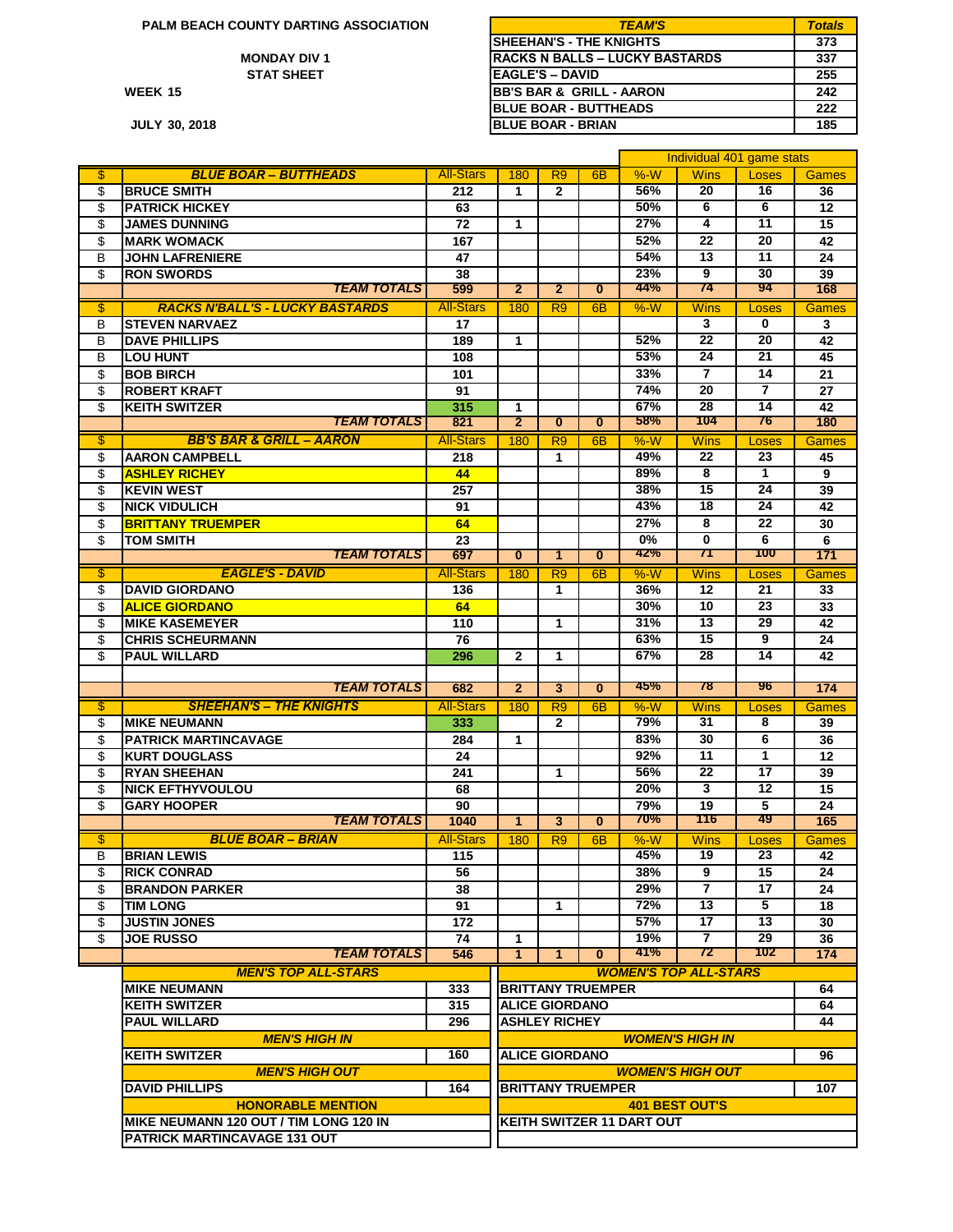**PALM BEACH COUNTY DARTING ASSOCIATION** 

**WEEK**

**JULY**

| M BEACH COUNTY DARTING ASSOCIATION | <b>TEAM'S</b>                        | <b>Totals</b> |
|------------------------------------|--------------------------------------|---------------|
|                                    | <b>ISHEEHAN'S - THE KNIGHTS</b>      | 373           |
| <b>MONDAY DIV 1</b>                | IRACKS N BALLS – LUCKY BASTARDS      | 337           |
| <b>STAT SHEET</b>                  | <b>IEAGLE'S – DAVID</b>              | 255           |
| 15                                 | <b>IBB'S BAR &amp; GRILL - AARON</b> | 242           |
|                                    | <b>IBLUE BOAR - BUTTHEADS</b>        | 222           |
| 30.2018                            | <b>IBLUE BOAR - BRIAN</b>            | 185           |

|                |                                             |                  |                     |                          |                |                                  | Individual 401 game stats    |                       |              |
|----------------|---------------------------------------------|------------------|---------------------|--------------------------|----------------|----------------------------------|------------------------------|-----------------------|--------------|
| \$             | <b>BLUE BOAR - BUTTHEADS</b>                | <b>All-Stars</b> | 180                 | R <sub>9</sub>           | 6 <sub>B</sub> | %W                               | <b>Wins</b>                  | Loses                 | <b>Games</b> |
| \$             | <b>BRUCE SMITH</b>                          | 212              | 1                   | $\mathbf{2}$             |                | 56%                              | 20                           | 16                    | 36           |
| \$             | <b>PATRICK HICKEY</b>                       | 63               |                     |                          |                | 50%                              | 6                            | 6                     | 12           |
| \$             | <b>JAMES DUNNING</b>                        | 72               | $\mathbf{1}$        |                          |                | 27%                              | 4                            | 11                    | 15           |
| \$             | <b>MARK WOMACK</b>                          | 167              |                     |                          |                | 52%                              | 22                           | 20                    | 42           |
| B              | <b>JOHN LAFRENIERE</b>                      | 47               |                     |                          |                | 54%                              | 13                           | 11                    | 24           |
| \$             | <b>RON SWORDS</b>                           | 38               |                     |                          |                | 23%                              | 9                            | 30                    | 39           |
|                | <b>TEAM TOTALS</b>                          | 599              | $\overline{2}$      | $\overline{2}$           | $\overline{0}$ | 44%                              | 74                           | 94                    | 168          |
| \$             | <b>RACKS N'BALL'S - LUCKY BASTARDS</b>      | <b>All-Stars</b> |                     |                          |                |                                  |                              |                       |              |
|                |                                             |                  | 180                 | R9                       | 6 <sub>B</sub> | %W                               | <b>Wins</b>                  | Loses<br>0            | <b>Games</b> |
| B              | <b>STEVEN NARVAEZ</b>                       | 17               |                     |                          |                |                                  | 3                            |                       | 3            |
| B              | <b>DAVE PHILLIPS</b>                        | 189              | 1                   |                          |                | 52%                              | 22                           | 20                    | 42           |
| B              | <b>LOU HUNT</b>                             | 108              |                     |                          |                | 53%                              | 24                           | 21                    | 45           |
| \$             | <b>BOB BIRCH</b>                            | 101              |                     |                          |                | 33%                              | 7                            | 14                    | 21           |
| \$             | <b>ROBERT KRAFT</b>                         | 91               |                     |                          |                | 74%                              | 20                           | $\overline{7}$        | 27           |
| \$             | <b>KEITH SWITZER</b>                        | 315              | 1                   |                          |                | 67%<br>58%                       | 28<br>104                    | 14<br>76              | 42           |
|                | <b>TEAM TOTALS</b>                          | 821              | $\overline{2}$      | $\overline{0}$           | $\mathbf{0}$   |                                  |                              |                       | 180          |
| \$             | <b>BB'S BAR &amp; GRILL - AARON</b>         | <b>All-Stars</b> | 180                 | R <sub>9</sub>           | 6 <sub>B</sub> | %W                               | <b>Wins</b>                  | Loses                 | <b>Games</b> |
| \$             | <b>AARON CAMPBELL</b>                       | 218              |                     | 1                        |                | 49%                              | 22                           | 23                    | 45           |
| \$             | <b>ASHLEY RICHEY</b>                        | 44               |                     |                          |                | 89%                              | 8                            | $\mathbf{1}$          | 9            |
| \$             | <b>KEVIN WEST</b>                           | 257              |                     |                          |                | 38%                              | 15                           | 24                    | 39           |
| \$             | <b>NICK VIDULICH</b>                        | 91               |                     |                          |                | 43%                              | 18                           | 24                    | 42           |
| \$             | <b>BRITTANY TRUEMPER</b>                    | 64               |                     |                          |                | 27%                              | 8                            | 22                    | 30           |
| \$             | <b>TOM SMITH</b>                            | 23               |                     |                          |                | 0%                               | $\bf{0}$                     | 6                     | 6            |
|                | <b>TEAM TOTALS</b>                          | 697              | $\overline{0}$      | 1                        | $\bf{0}$       | 42%                              | 71                           | 100                   | 171          |
| $\mathfrak{L}$ | <b>EAGLE'S - DAVID</b>                      | <b>All-Stars</b> | 180                 | R <sub>9</sub>           | 6 <sub>B</sub> | %W                               | <b>Wins</b>                  | Loses                 | <b>Games</b> |
| \$             | <b>DAVID GIORDANO</b>                       | 136              |                     | 1                        |                | 36%                              | 12                           | 21                    | 33           |
| \$             | <b>ALICE GIORDANO</b>                       | 64               |                     |                          |                | 30%                              | 10                           | 23                    | 33           |
| \$             | <b>MIKE KASEMEYER</b>                       | 110              |                     | 1                        |                | 31%                              | 13                           | 29                    | 42           |
| \$             | <b>CHRIS SCHEURMANN</b>                     | 76               |                     |                          |                | 63%                              | 15                           | 9                     | 24           |
| \$             | <b>PAUL WILLARD</b>                         | 296              | $\mathbf{2}$        | $\mathbf{1}$             |                | 67%                              | 28                           | 14                    | 42           |
|                |                                             |                  |                     |                          |                |                                  |                              |                       |              |
|                | <b>TEAM TOTALS</b>                          | 682              | $\overline{2}$      | $\overline{\mathbf{3}}$  | $\overline{0}$ | 45%                              | 78                           | '96                   | 174          |
| \$             | <b>SHEEHAN'S - THE KNIGHTS</b>              | <b>All-Stars</b> | 180                 | R <sub>9</sub>           | 6B             | %W                               | <b>Wins</b>                  | Loses                 | Games        |
| \$             | <b>IMIKE NEUMANN</b>                        | 333              |                     | $\mathbf{2}$             |                | 79%                              | 31                           | 8                     | 39           |
| \$             | <b>PATRICK MARTINCAVAGE</b>                 | 284              | $\mathbf{1}$        |                          |                | 83%                              | 30                           | $6\overline{6}$       | 36           |
| \$             | <b>KURT DOUGLASS</b>                        | 24               |                     |                          |                | 92%                              | 11                           | 1                     | 12           |
| \$             | <b>RYAN SHEEHAN</b>                         | 241              |                     | 1                        |                | 56%                              | 22                           | 17                    | 39           |
| \$             | <b>NICK EFTHYVOULOU</b>                     | 68               |                     |                          |                | 20%                              | 3                            | 12                    | 15           |
| \$             | <b>GARY HOOPER</b>                          | 90               |                     |                          |                | 79%                              | 19                           | 5                     | 24           |
|                | <b>TEAM TOTALS</b>                          | 1040             | $\mathbf{1}$        | $\overline{\mathbf{3}}$  | $\mathbf{0}$   | 70%                              | 116                          | 49                    | 165          |
| \$             | <b>BLUE BOAR - BRIAN</b>                    | <b>All-Stars</b> | 180                 | R <sub>9</sub>           | 6 <sub>B</sub> | %W                               |                              |                       | <b>Games</b> |
|                |                                             |                  |                     |                          |                | 45%                              | <b>Wins</b><br>19            | Loses                 |              |
| В<br>\$        | <b>BRIAN LEWIS</b>                          | 115<br>56        |                     |                          |                | 38%                              | 9                            | 23<br>$\overline{15}$ | 42<br>24     |
|                | <b>RICK CONRAD</b><br><b>BRANDON PARKER</b> | 38               |                     |                          |                | 29%                              | $\overline{7}$               | 17                    | 24           |
| \$             |                                             |                  |                     |                          |                | 72%                              | 13                           | 5                     |              |
| \$             | <b>TIM LONG</b>                             | 91               |                     | 1                        |                |                                  |                              |                       | 18           |
| \$             | <b>JUSTIN JONES</b>                         | 172              |                     |                          |                | 57%                              | 17                           | 13                    | 30           |
| \$             | <b>JOE RUSSO</b><br><b>TEAM TOTALS</b>      | 74               | 1<br>$\overline{1}$ | 1                        | $\mathbf{0}$   | 19%<br>41%                       | 7<br>72                      | 29<br>102             | 36<br>174    |
|                |                                             | 546              |                     |                          |                |                                  |                              |                       |              |
|                | <b>MEN'S TOP ALL-STARS</b>                  |                  |                     |                          |                |                                  | <b>WOMEN'S TOP ALL-STARS</b> |                       |              |
|                | <b>MIKE NEUMANN</b>                         | 333              |                     | <b>BRITTANY TRUEMPER</b> |                |                                  |                              |                       | 64           |
|                | <b>KEITH SWITZER</b>                        | 315              |                     | <b>ALICE GIORDANO</b>    |                |                                  |                              |                       | 64           |
|                | <b>PAUL WILLARD</b>                         | 296              |                     | <b>ASHLEY RICHEY</b>     |                |                                  |                              |                       | 44           |
|                | <b>MEN'S HIGH IN</b>                        |                  |                     |                          |                |                                  | <b>WOMEN'S HIGH IN</b>       |                       |              |
|                | <b>KEITH SWITZER</b>                        | 160              |                     | <b>ALICE GIORDANO</b>    |                |                                  |                              |                       | 96           |
|                | <b>MEN'S HIGH OUT</b>                       |                  |                     |                          |                |                                  | <b>WOMEN'S HIGH OUT</b>      |                       |              |
|                | <b>DAVID PHILLIPS</b>                       | 164              |                     | <b>BRITTANY TRUEMPER</b> |                |                                  |                              |                       | 107          |
|                | <b>HONORABLE MENTION</b>                    |                  |                     |                          |                |                                  | <b>401 BEST OUT'S</b>        |                       |              |
|                | MIKE NEUMANN 120 OUT / TIM LONG 120 IN      |                  |                     |                          |                | <b>KEITH SWITZER 11 DART OUT</b> |                              |                       |              |
|                | PATRICK MARTINCAVAGE 131 OUT                |                  |                     |                          |                |                                  |                              |                       |              |
|                |                                             |                  |                     |                          |                |                                  |                              |                       |              |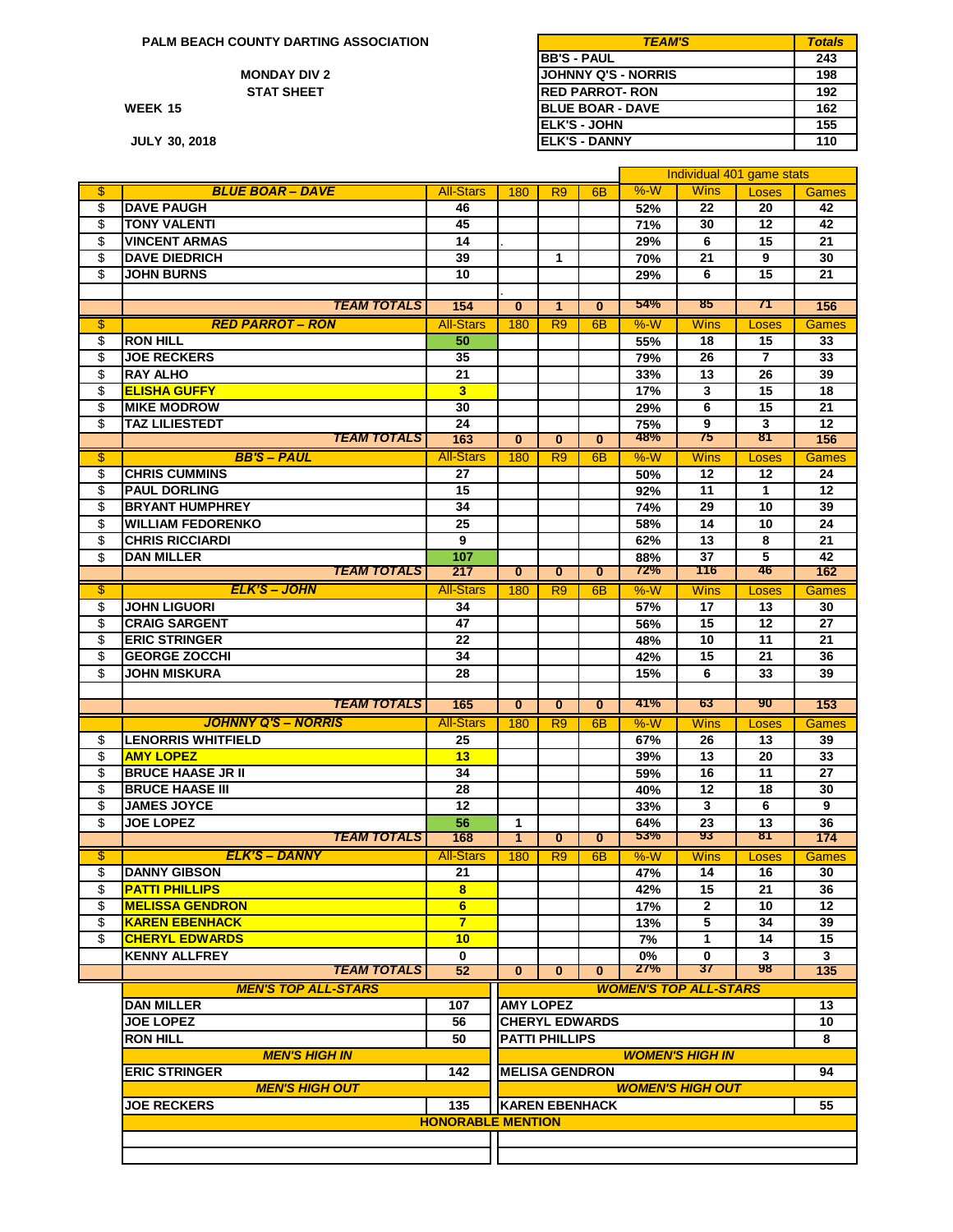**PALM BEACH COUNTY DARTING ASSOCIATION**

#### **MONDAY DIV 2 STAT SHEET**

**WEEK**

**JULY 30, 2018**

| M BEACH COUNTY DARTING ASSOCIATION | <b>TEAM'S</b>            | Totals |
|------------------------------------|--------------------------|--------|
|                                    | <b>IBB'S - PAUL</b>      | 243    |
| <b>MONDAY DIV 2</b>                | IJOHNNY Q'S - NORRIS     | 198    |
| <b>STAT SHEET</b>                  | <b>IRED PARROT- RON</b>  | 192    |
| 15                                 | <b>IBLUE BOAR - DAVE</b> | 162    |
|                                    | IELK'S - JOHN            | 155    |
| 30, 2018                           | <b>IELK'S - DANNY</b>    | 110    |

|                         |                                            |                          |                         |                       |                |              |                              | Individual 401 game stats |                 |
|-------------------------|--------------------------------------------|--------------------------|-------------------------|-----------------------|----------------|--------------|------------------------------|---------------------------|-----------------|
| \$                      | <b>BLUE BOAR - DAVE</b>                    | <b>All-Stars</b>         | 180                     | R <sub>9</sub>        | 6 <sub>B</sub> | %W           | <b>Wins</b>                  | Loses                     | <b>Games</b>    |
| \$                      | <b>DAVE PAUGH</b>                          | 46                       |                         |                       |                | 52%          | 22                           | 20                        | 42              |
| \$                      | <b>TONY VALENTI</b>                        | 45                       |                         |                       |                | 71%          | 30                           | 12                        | 42              |
| \$                      | <b>VINCENT ARMAS</b>                       | 14                       |                         |                       |                | 29%          | 6                            | 15                        | 21              |
| \$                      | <b>DAVE DIEDRICH</b>                       | 39                       |                         | 1                     |                | 70%          | 21                           | 9                         | 30              |
| \$                      | JOHN BURNS                                 | 10                       |                         |                       |                | 29%          | 6                            | 15                        | 21              |
|                         |                                            |                          |                         |                       |                |              |                              |                           |                 |
|                         | <b>TEAM TOTALS</b>                         | 154                      | $\overline{0}$          | $\mathbf{1}$          | $\overline{0}$ | 54%          | 85                           | 71                        | 156             |
| \$                      | <b>RED PARROT - RON</b>                    | <b>All-Stars</b>         | 180                     | R <sub>9</sub>        | 6 <sub>B</sub> | %W           | <b>Wins</b>                  | Loses                     | Games           |
| \$                      | <b>RON HILL</b>                            | 50                       |                         |                       |                | 55%          | 18                           | 15                        | 33              |
|                         | <b>JOE RECKERS</b>                         | 35                       |                         |                       |                |              | 26                           | 7                         | 33              |
| \$                      | <b>RAY ALHO</b>                            | 21                       |                         |                       |                | 79%          | 13                           | 26                        | 39              |
| \$                      |                                            |                          |                         |                       |                | 33%          |                              |                           |                 |
| \$                      | <b>ELISHA GUFFY</b>                        | $\overline{\mathbf{3}}$  |                         |                       |                | 17%          | 3                            | 15                        | 18              |
| \$                      | <b>MIKE MODROW</b>                         | 30                       |                         |                       |                | 29%          | 6                            | 15                        | 21              |
| \$                      | TAZ LILIESTEDT<br><b>TEAM TOTALS</b>       | 24<br>163                | $\bf{0}$                | $\bf{0}$              | $\bf{0}$       | 75%<br>48%   | 9<br>75                      | 3<br>81                   | 12<br>156       |
|                         |                                            |                          |                         |                       |                |              |                              |                           |                 |
| $\overline{\mathbb{S}}$ | <b>BB'S-PAUL</b>                           | <b>All-Stars</b>         | 180                     | R <sub>9</sub>        | 6 <sub>B</sub> | %W           | <b>Wins</b>                  | Loses                     | <b>Games</b>    |
| \$                      | <b>CHRIS CUMMINS</b>                       | 27                       |                         |                       |                | 50%          | 12                           | 12                        | 24              |
| \$                      | <b>PAUL DORLING</b>                        | 15                       |                         |                       |                | 92%          | 11                           | $\mathbf{1}$              | 12              |
| \$                      | <b>BRYANT HUMPHREY</b>                     | 34                       |                         |                       |                | 74%          | 29                           | 10                        | 39              |
| \$                      | <b>WILLIAM FEDORENKO</b>                   | $\overline{25}$          |                         |                       |                | 58%          | 14                           | 10                        | $\overline{24}$ |
| \$                      | <b>CHRIS RICCIARDI</b>                     | 9                        |                         |                       |                | 62%          | 13                           | 8                         | 21              |
| \$                      | <b>DAN MILLER</b>                          | 107                      |                         |                       |                | 88%          | 37                           | 5                         | 42              |
|                         | <b>TEAM TOTALS</b>                         | 217                      | $\overline{\mathbf{0}}$ | $\bf{0}$              | $\bf{0}$       | 72%          | 116                          | 46                        | 162             |
| \$                      | <b>ELK'S - JOHN</b>                        | <b>All-Stars</b>         | 180                     | R <sub>9</sub>        | 6 <sub>B</sub> | $%-W$        | <b>Wins</b>                  | Loses                     | <b>Games</b>    |
| \$                      | <b>JOHN LIGUORI</b>                        | 34                       |                         |                       |                | 57%          | 17                           | 13                        | 30              |
| \$                      | <b>CRAIG SARGENT</b>                       | 47                       |                         |                       |                | 56%          | 15                           | $\overline{12}$           | $\overline{27}$ |
| \$                      | <b>ERIC STRINGER</b>                       | 22                       |                         |                       |                | 48%          | 10                           | 11                        | 21              |
| \$                      | <b>GEORGE ZOCCHI</b>                       | 34                       |                         |                       |                | 42%          | 15                           | 21                        | 36              |
| \$                      | <b>JOHN MISKURA</b>                        | 28                       |                         |                       |                | 15%          | 6                            | 33                        | 39              |
|                         |                                            |                          |                         |                       |                |              |                              |                           |                 |
|                         | <b>TEAM TOTALS</b>                         | 165                      | $\bf{0}$                | $\bf{0}$              | $\bf{0}$       | 41%          | 63                           | 90                        | 153             |
|                         | <b>JOHNNY Q'S - NORRIS</b>                 | <b>All-Stars</b>         | 180                     | R <sub>9</sub>        | 6 <sub>B</sub> | %W           | <b>Wins</b>                  | Loses                     | <b>Games</b>    |
| \$                      | <b>LENORRIS WHITFIELD</b>                  | 25                       |                         |                       |                | 67%          | 26                           | 13                        | 39              |
| \$                      | <b>AMY LOPEZ</b>                           | 13                       |                         |                       |                | 39%          | $\overline{13}$              | 20                        | 33              |
| \$                      | <b>BRUCE HAASE JR II</b>                   | 34                       |                         |                       |                | 59%          | 16                           | 11                        | 27              |
| \$                      | <b>BRUCE HAASE III</b>                     | 28                       |                         |                       |                | 40%          | 12                           | 18                        | 30              |
| \$                      | <b>JAMES JOYCE</b>                         | 12                       |                         |                       |                | 33%          | 3                            | 6                         | 9               |
| \$                      | <b>JOE LOPEZ</b>                           | 56                       | $\mathbf{1}$            |                       |                | 64%          | 23                           | 13                        | 36              |
|                         | <b>TEAM TOTALS</b>                         | 168                      | $\mathbf{1}$            | $\bf{0}$              | $\bf{0}$       | 53%          | 93                           | 81                        | 174             |
| \$                      | <b>ELK'S - DANNY</b>                       | <b>All-Stars</b>         | 180                     | R <sub>9</sub>        | 6 <sub>B</sub> | $%-W$        | <b>Wins</b>                  | Loses                     | <b>Games</b>    |
| \$                      | <b>DANNY GIBSON</b>                        | 21                       |                         |                       |                | 47%          | 14                           | 16                        | 30              |
| \$                      | <b>PATTI PHILLIPS</b>                      | 8                        |                         |                       |                | 42%          | 15                           | 21                        | 36              |
| \$                      | <b>MELISSA GENDRON</b>                     | 6                        |                         |                       |                |              | $\mathbf{2}$                 | 10                        | 12              |
| \$                      | <b>KAREN EBENHACK</b>                      | $\overline{7}$           |                         |                       |                | 17%<br>13%   | 5                            | 34                        | 39              |
|                         | <b>CHERYL EDWARDS</b>                      |                          |                         |                       |                |              |                              |                           | 15              |
| \$                      |                                            | 10                       |                         |                       |                | 7%           | 1                            | 14                        |                 |
|                         | <b>KENNY ALLFREY</b><br><b>TEAM TOTALS</b> | $\mathbf 0$<br>52        | $\bf{0}$                | $\bf{0}$              | $\bf{0}$       | $0\%$<br>27% | $\mathbf 0$<br>37            | 3<br>98                   | 3<br>135        |
|                         | <b>MEN'S TOP ALL-STARS</b>                 |                          |                         |                       |                |              |                              |                           |                 |
|                         |                                            |                          |                         |                       |                |              | <b>WOMEN'S TOP ALL-STARS</b> |                           |                 |
|                         | <b>DAN MILLER</b>                          | 107                      | <b>AMY LOPEZ</b>        |                       |                |              |                              |                           | 13              |
|                         | <b>JOE LOPEZ</b>                           | 56                       |                         | <b>CHERYL EDWARDS</b> |                |              |                              |                           | 10              |
|                         | <b>RON HILL</b>                            | 50                       |                         | <b>PATTI PHILLIPS</b> |                |              |                              |                           | 8               |
|                         | <b>MEN'S HIGH IN</b>                       |                          |                         |                       |                |              | <b>WOMEN'S HIGH IN</b>       |                           |                 |
|                         | <b>ERIC STRINGER</b>                       | 142                      | <b>MELISA GENDRON</b>   |                       |                |              |                              |                           | 94              |
|                         | <b>MEN'S HIGH OUT</b>                      |                          |                         |                       |                |              | <b>WOMEN'S HIGH OUT</b>      |                           |                 |
|                         | <b>JOE RECKERS</b>                         | 135                      | <b>KAREN EBENHACK</b>   |                       |                |              |                              |                           | 55              |
|                         |                                            | <b>HONORABLE MENTION</b> |                         |                       |                |              |                              |                           |                 |
|                         |                                            |                          |                         |                       |                |              |                              |                           |                 |
|                         |                                            |                          |                         |                       |                |              |                              |                           |                 |
|                         |                                            |                          |                         |                       |                |              |                              |                           |                 |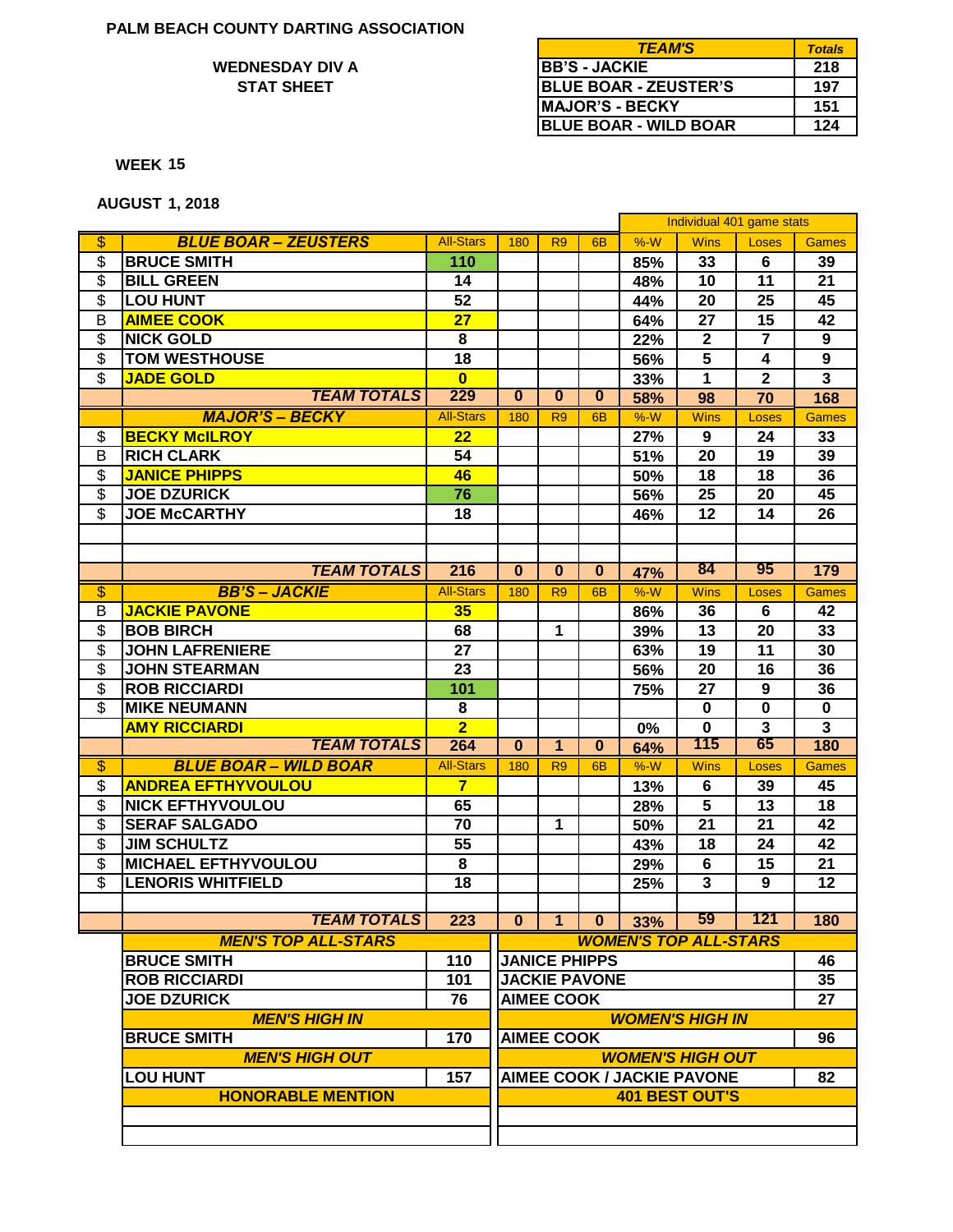## **STAT SHEET WEDNESDAY DIV A**

| <b>TEAM'S</b>                | <b>Totals</b> |
|------------------------------|---------------|
| <b>IBB'S - JACKIE</b>        | 218           |
| <b>BLUE BOAR - ZEUSTER'S</b> | 197           |
| <b>IMAJOR'S - BECKY</b>      | 151           |
| <b>BLUE BOAR - WILD BOAR</b> | 124           |

**15 WEEK**

**AUGUST 1, 2018**

|                          |                              |                  |                        |                      |                |                                   | Individual 401 game stats |                |                         |
|--------------------------|------------------------------|------------------|------------------------|----------------------|----------------|-----------------------------------|---------------------------|----------------|-------------------------|
| \$                       | <b>BLUE BOAR - ZEUSTERS</b>  | <b>All-Stars</b> | 180                    | R <sub>9</sub>       | 6 <sub>B</sub> | $%-W$                             | <b>Wins</b>               | Loses          | <b>Games</b>            |
| $\overline{\mathcal{S}}$ | <b>BRUCE SMITH</b>           | 110              |                        |                      |                | 85%                               | 33                        | 6              | 39                      |
| \$                       | <b>BILL GREEN</b>            | 14               |                        |                      |                | 48%                               | 10                        | 11             | 21                      |
| \$                       | <b>LOU HUNT</b>              | 52               |                        |                      |                | 44%                               | 20                        | 25             | 45                      |
| B                        | <b>AIMEE COOK</b>            | 27               |                        |                      |                | 64%                               | 27                        | 15             | 42                      |
| \$                       | <b>NICK GOLD</b>             | 8                |                        |                      |                | 22%                               | $\mathbf{2}$              | $\overline{7}$ | 9                       |
| \$                       | <b>TOM WESTHOUSE</b>         | 18               |                        |                      |                | 56%                               | 5                         | 4              | 9                       |
| \$                       | <b>JADE GOLD</b>             | $\overline{0}$   |                        |                      |                | 33%                               | $\mathbf{1}$              | $\mathbf{2}$   | $\mathbf{3}$            |
|                          | <b>TEAM TOTALS</b>           | 229              | $\overline{0}$         | $\mathbf{0}$         | $\mathbf{0}$   | 58%                               | 98                        | 70             | 168                     |
|                          | <b>MAJOR'S - BECKY</b>       | <b>All-Stars</b> | 180                    | R <sub>9</sub>       | 6 <sub>B</sub> | $%-W$                             | <b>Wins</b>               | <b>Loses</b>   | <b>Games</b>            |
| \$                       | <b>BECKY McILROY</b>         | 22               |                        |                      |                | 27%                               | 9                         | 24             | 33                      |
| B                        | <b>RICH CLARK</b>            | 54               |                        |                      |                | 51%                               | 20                        | 19             | 39                      |
| \$                       | <b>JANICE PHIPPS</b>         | 46               |                        |                      |                | 50%                               | 18                        | 18             | 36                      |
| \$                       | <b>JOE DZURICK</b>           | 76               |                        |                      |                | 56%                               | 25                        | 20             | 45                      |
| $\overline{\mathcal{S}}$ | <b>JOE McCARTHY</b>          | 18               |                        |                      |                | 46%                               | 12                        | 14             | 26                      |
|                          |                              |                  |                        |                      |                |                                   |                           |                |                         |
|                          |                              |                  |                        |                      |                |                                   |                           |                |                         |
|                          | <b>TEAM TOTALS</b>           | 216              | $\bf{0}$               | $\bf{0}$             | $\bf{0}$       | 47%                               | 84                        | 95             | 179                     |
| $\overline{\$}$          | <b>BB'S-JACKIE</b>           | <b>All-Stars</b> | 180                    | R <sub>9</sub>       | 6 <sub>B</sub> | $%-W$                             | <b>Wins</b>               | Loses          | <b>Games</b>            |
| B                        | <b>JACKIE PAVONE</b>         | 35               |                        |                      |                | 86%                               | 36                        | 6              | 42                      |
| \$                       | <b>BOB BIRCH</b>             | 68               |                        | 1                    |                | 39%                               | 13                        | 20             | 33                      |
| \$                       | <b>JOHN LAFRENIERE</b>       | 27               |                        |                      |                | 63%                               | 19                        | 11             | 30                      |
| \$                       | <b>JOHN STEARMAN</b>         | 23               |                        |                      |                | 56%                               | 20                        | 16             | 36                      |
| \$                       | <b>ROB RICCIARDI</b>         | 101              |                        |                      |                | 75%                               | 27                        | 9              | 36                      |
| \$                       | <b>MIKE NEUMANN</b>          | 8                |                        |                      |                |                                   | $\bf{0}$                  | $\mathbf 0$    | $\bf{0}$                |
|                          | <b>AMY RICCIARDI</b>         | $\overline{2}$   |                        |                      |                | 0%                                | $\mathbf 0$               | $\overline{3}$ | $\overline{\mathbf{3}}$ |
|                          | <b>TEAM TOTALS</b>           | 264              | $\bf{0}$               | $\blacktriangleleft$ | $\bf{0}$       | 64%                               | 115                       | 65             | 180                     |
| \$                       | <b>BLUE BOAR - WILD BOAR</b> | <b>All-Stars</b> | 180                    | R <sub>9</sub>       | 6 <sub>B</sub> | %W                                | <b>Wins</b>               | <b>Loses</b>   | <b>Games</b>            |
| \$                       | <b>ANDREA EFTHYVOULOU</b>    | $\overline{7}$   |                        |                      |                | 13%                               | 6                         | 39             | 45                      |
| \$                       | <b>NICK EFTHYVOULOU</b>      | 65               |                        |                      |                | 28%                               | $5\phantom{.0}$           | 13             | 18                      |
| \$                       | <b>SERAF SALGADO</b>         | 70               |                        | 1                    |                | 50%                               | 21                        | 21             | 42                      |
| \$                       | <b>JIM SCHULTZ</b>           | 55               |                        |                      |                | 43%                               | 18                        | 24             | 42                      |
| \$                       | <b>MICHAEL EFTHYVOULOU</b>   | 8                |                        |                      |                | 29%                               | 6                         | 15             | 21                      |
| \$                       | <b>LENORIS WHITFIELD</b>     | 18               |                        |                      |                | 25%                               | $\mathbf{3}$              | 9              | 12                      |
|                          |                              |                  |                        |                      |                |                                   |                           |                |                         |
|                          | <b>TEAM TOTALS</b>           | 223              | 0                      | $\blacktriangleleft$ | $\bf{0}$       | 33%                               | 59                        | 121            | 180                     |
|                          | <b>MEN'S TOP ALL-STARS</b>   |                  |                        |                      |                | <b>WOMEN'S TOP ALL-STARS</b>      |                           |                |                         |
|                          | <b>BRUCE SMITH</b>           | 110              |                        | <b>JANICE PHIPPS</b> |                |                                   |                           |                | 46                      |
|                          | <b>ROB RICCIARDI</b>         | 101              | <b>JACKIE PAVONE</b>   |                      |                |                                   | 35                        |                |                         |
|                          | <b>JOE DZURICK</b>           | 76               | <b>AIMEE COOK</b>      |                      |                |                                   | 27                        |                |                         |
|                          | <b>MEN'S HIGH IN</b>         |                  | <b>WOMEN'S HIGH IN</b> |                      |                |                                   |                           |                |                         |
|                          | <b>BRUCE SMITH</b>           | 170              | <b>AIMEE COOK</b>      |                      |                |                                   |                           | 96             |                         |
|                          | <b>MEN'S HIGH OUT</b>        |                  |                        |                      |                | <b>WOMEN'S HIGH OUT</b>           |                           |                |                         |
|                          | <b>LOU HUNT</b>              | 157              |                        |                      |                | <b>AIMEE COOK / JACKIE PAVONE</b> |                           |                | 82                      |
|                          | <b>HONORABLE MENTION</b>     |                  |                        |                      |                | <b>401 BEST OUT'S</b>             |                           |                |                         |
|                          |                              |                  |                        |                      |                |                                   |                           |                |                         |
|                          |                              |                  |                        |                      |                |                                   |                           |                |                         |